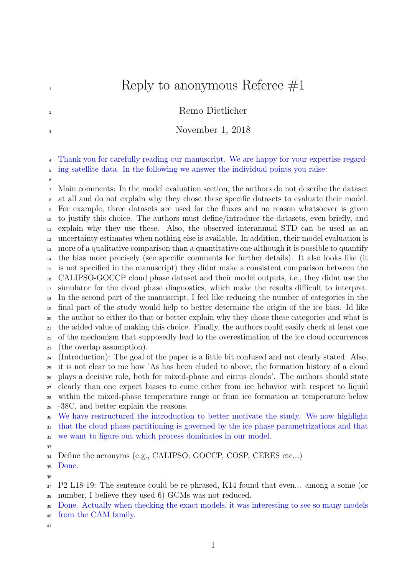## $\mathbb{R}$  Reply to anonymous Referee  $\#1$

## <sup>2</sup> Remo Dietlicher

## November 1, 2018

 Thank you for carefully reading our manuscript. We are happy for your expertise regard-ing satellite data. In the following we answer the individual points you raise:

 Main comments: In the model evaluation section, the authors do not describe the dataset at all and do not explain why they chose these specific datasets to evaluate their model. For example, three datasets are used for the fluxes and no reason whatsoever is given to justify this choice. The authors must define/introduce the datasets, even briefly, and explain why they use these. Also, the observed interannual STD can be used as an uncertainty estimates when nothing else is available. In addition, their model evaluation is more of a qualitative comparison than a quantitative one although it is possible to quantify the bias more precisely (see specific comments for further details). It also looks like (it is not specified in the manuscript) they didnt make a consistent comparison between the CALIPSO-GOCCP cloud phase dataset and their model outputs, i.e., they didnt use the simulator for the cloud phase diagnostics, which make the results difficult to interpret. In the second part of the manuscript, I feel like reducing the number of categories in the final part of the study would help to better determine the origin of the ice bias. Id like the author to either do that or better explain why they chose these categories and what is the added value of making this choice. Finally, the authors could easily check at least one of the mechanism that supposedly lead to the overestimation of the ice cloud occurrences (the overlap assumption). (Introduction): The goal of the paper is a little bit confused and not clearly stated. Also, it is not clear to me how 'As has been eluded to above, the formation history of a cloud plays a decisive role, both for mixed-phase and cirrus clouds'. The authors should state clearly than one expect biases to come either from ice behavior with respect to liquid within the mixed-phase temperature range or from ice formation at temperature below -38C, and better explain the reasons. We have restructured the introduction to better motivate the study. We now highlight

that the cloud phase partitioning is governed by the ice phase parametrizations and that

we want to figure out which process dominates in our model.

Define the acronyms (e.g., CALIPSO, GOCCP, COSP, CERES etc...)

Done.

P2 L18-19: The sentence could be re-phrased, K14 found that even... among a some (or

number, I believe they used 6) GCMs was not reduced.

<sup>39</sup> Done. Actually when checking the exact models, it was interesting to see so many models

- from the CAM family.
-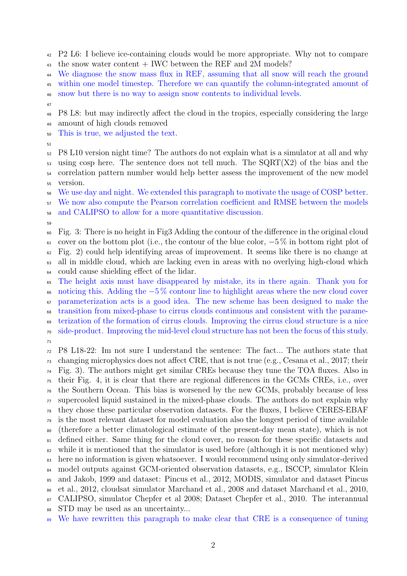P2 L6: I believe ice-containing clouds would be more appropriate. Why not to compare the snow water content + IWC between the REF and 2M models?

<sup>44</sup> We diagnose the snow mass flux in REF, assuming that all snow will reach the ground

within one model timestep. Therefore we can quantify the column-integrated amount of

snow but there is no way to assign snow contents to individual levels.

P8 L8: but may indirectly affect the cloud in the tropics, especially considering the large

 amount of high clouds removed This is true, we adjusted the text.

 P8 L10 version night time? The authors do not explain what is a simulator at all and why  $\frac{1}{53}$  using cosp here. The sentence does not tell much. The SQRT(X2) of the bias and the correlation pattern number would help better assess the improvement of the new model version.

We use day and night. We extended this paragraph to motivate the usage of COSP better.

We now also compute the Pearson correlation coefficient and RMSE between the models

and CALIPSO to allow for a more quantitative discussion.

 Fig. 3: There is no height in Fig3 Adding the contour of the difference in the original cloud 61 cover on the bottom plot (i.e., the contour of the blue color,  $-5\%$  in bottom right plot of Fig. 2) could help identifying areas of improvement. It seems like there is no change at all in middle cloud, which are lacking even in areas with no overlying high-cloud which could cause shielding effect of the lidar.

 The height axis must have disappeared by mistake, its in there again. Thank you for 66 noticing this. Adding the  $-5\%$  contour line to highlight areas where the new cloud cover parameterization acts is a good idea. The new scheme has been designed to make the transition from mixed-phase to cirrus clouds continuous and consistent with the parame-terization of the formation of cirrus clouds. Improving the cirrus cloud structure is a nice

 side-product. Improving the mid-level cloud structure has not been the focus of this study. 

 P8 L18-22: Im not sure I understand the sentence: The fact... The authors state that changing microphysics does not affect CRE, that is not true (e.g., Cesana et al., 2017; their Fig. 3). The authors might get similar CREs because they tune the TOA fluxes. Also in their Fig. 4, it is clear that there are regional differences in the GCMs CREs, i.e., over the Southern Ocean. This bias is worsened by the new GCMs, probably because of less supercooled liquid sustained in the mixed-phase clouds. The authors do not explain why they chose these particular observation datasets. For the fluxes, I believe CERES-EBAF <sup>79</sup> is the most relevant dataset for model evaluation also the longest period of time available (therefore a better climatological estimate of the present-day mean state), which is not <sup>81</sup> defined either. Same thing for the cloud cover, no reason for these specific datasets and  $\frac{1}{82}$  while it is mentioned that the simulator is used before (although it is not mentioned why) here no information is given whatsoever. I would recommend using only simulator-derived model outputs against GCM-oriented observation datasets, e.g., ISCCP, simulator Klein and Jakob, 1999 and dataset: Pincus et al., 2012, MODIS, simulator and dataset Pincus et al., 2012, cloudsat simulator Marchand et al., 2008 and dataset Marchand et al., 2010, CALIPSO, simulator Chepfer et al 2008; Dataset Chepfer et al., 2010. The interannual STD may be used as an uncertainty...

We have rewritten this paragraph to make clear that CRE is a consequence of tuning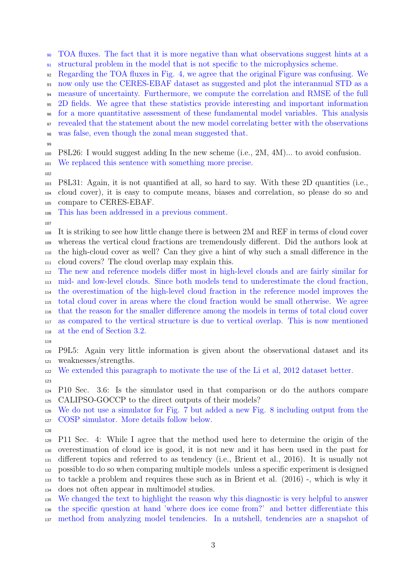TOA fluxes. The fact that it is more negative than what observations suggest hints at a structural problem in the model that is not specific to the microphysics scheme.

Regarding the TOA fluxes in Fig. 4, we agree that the original Figure was confusing. We

now only use the CERES-EBAF dataset as suggested and plot the interannual STD as a

measure of uncertainty. Furthermore, we compute the correlation and RMSE of the full

2D fields. We agree that these statistics provide interesting and important information

 for a more quantitative assessment of these fundamental model variables. This analysis revealed that the statement about the new model correlating better with the observations

was false, even though the zonal mean suggested that.

 P8L26: I would suggest adding In the new scheme (i.e., 2M, 4M)... to avoid confusion. We replaced this sentence with something more precise.

 P8L31: Again, it is not quantified at all, so hard to say. With these 2D quantities (i.e., cloud cover), it is easy to compute means, biases and correlation, so please do so and compare to CERES-EBAF.

This has been addressed in a previous comment.

 It is striking to see how little change there is between 2M and REF in terms of cloud cover whereas the vertical cloud fractions are tremendously different. Did the authors look at the high-cloud cover as well? Can they give a hint of why such a small difference in the cloud covers? The cloud overlap may explain this.

 The new and reference models differ most in high-level clouds and are fairly similar for mid- and low-level clouds. Since both models tend to underestimate the cloud fraction, the overestimation of the high-level cloud fraction in the reference model improves the total cloud cover in areas where the cloud fraction would be small otherwise. We agree that the reason for the smaller difference among the models in terms of total cloud cover as compared to the vertical structure is due to vertical overlap. This is now mentioned at the end of Section 3.2.

 P9L5: Again very little information is given about the observational dataset and its weaknesses/strengths.

 We extended this paragraph to motivate the use of the Li et al, 2012 dataset better. 

 P10 Sec. 3.6: Is the simulator used in that comparison or do the authors compare CALIPSO-GOCCP to the direct outputs of their models?

 We do not use a simulator for Fig. 7 but added a new Fig. 8 including output from the COSP simulator. More details follow below.

 P11 Sec. 4: While I agree that the method used here to determine the origin of the overestimation of cloud ice is good, it is not new and it has been used in the past for different topics and referred to as tendency (i.e., Brient et al., 2016). It is usually not possible to do so when comparing multiple models unless a specific experiment is designed to tackle a problem and requires these such as in Brient et al. (2016) -, which is why it does not often appear in multimodel studies.

 We changed the text to highlight the reason why this diagnostic is very helpful to answer the specific question at hand 'where does ice come from?' and better differentiate this method from analyzing model tendencies. In a nutshell, tendencies are a snapshot of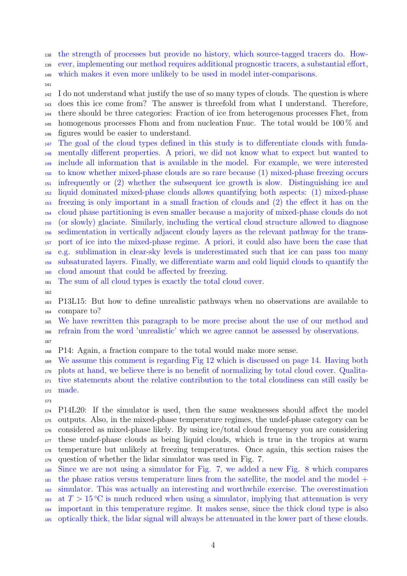the strength of processes but provide no history, which source-tagged tracers do. How- ever, implementing our method requires additional prognostic tracers, a substantial effort, which makes it even more unlikely to be used in model inter-comparisons.

 I do not understand what justify the use of so many types of clouds. The question is where does this ice come from? The answer is threefold from what I understand. Therefore, there should be three categories: Fraction of ice from heterogenous processes Fhet, from homogenous processes Fhom and from nucleation Fnuc. The total would be 100 % and figures would be easier to understand.

 The goal of the cloud types defined in this study is to differentiate clouds with funda- mentally different properties. A priori, we did not know what to expect but wanted to include all information that is available in the model. For example, we were interested to know whether mixed-phase clouds are so rare because (1) mixed-phase freezing occurs infrequently or (2) whether the subsequent ice growth is slow. Distinguishing ice and liquid dominated mixed-phase clouds allows quantifying both aspects: (1) mixed-phase freezing is only important in a small fraction of clouds and (2) the effect it has on the cloud phase partitioning is even smaller because a majority of mixed-phase clouds do not (or slowly) glaciate. Similarly, including the vertical cloud structure allowed to diagnose sedimentation in vertically adjacent cloudy layers as the relevant pathway for the trans- port of ice into the mixed-phase regime. A priori, it could also have been the case that e.g. sublimation in clear-sky levels is underestimated such that ice can pass too many subsaturated layers. Finally, we differentiate warm and cold liquid clouds to quantify the cloud amount that could be affected by freezing.

The sum of all cloud types is exactly the total cloud cover.

 P13L15: But how to define unrealistic pathways when no observations are available to compare to?

 We have rewritten this paragraph to be more precise about the use of our method and refrain from the word 'unrealistic' which we agree cannot be assessed by observations.

P14: Again, a fraction compare to the total would make more sense.

 We assume this comment is regarding Fig 12 which is discussed on page 14. Having both plots at hand, we believe there is no benefit of normalizing by total cloud cover. Qualita- tive statements about the relative contribution to the total cloudiness can still easily be made.

 P14L20: If the simulator is used, then the same weaknesses should affect the model outputs. Also, in the mixed-phase temperature regimes, the undef-phase category can be considered as mixed-phase likely. By using ice/total cloud frequency you are considering these undef-phase clouds as being liquid clouds, which is true in the tropics at warm temperature but unlikely at freezing temperatures. Once again, this section raises the question of whether the lidar simulator was used in Fig. 7.

 Since we are not using a simulator for Fig. 7, we added a new Fig. 8 which compares  $_{181}$  the phase ratios versus temperature lines from the satellite, the model and the model + simulator. This was actually an interesting and worthwhile exercise. The overestimation at  $T > 15$  °C is much reduced when using a simulator, implying that attenuation is very important in this temperature regime. It makes sense, since the thick cloud type is also optically thick, the lidar signal will always be attenuated in the lower part of these clouds.